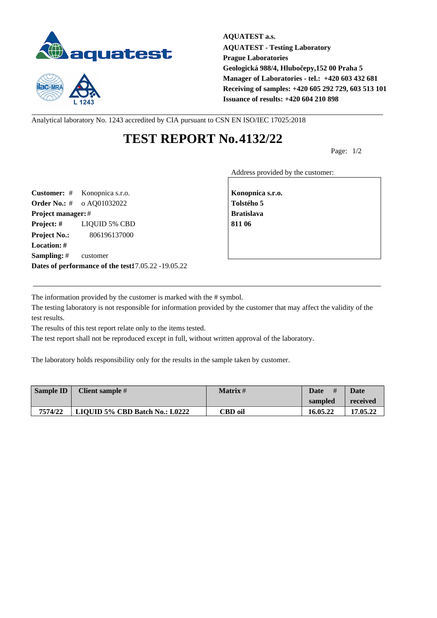



**AQUATEST a.s. AQUATEST - Testing Laboratory Prague Laboratories Geologická 988/4, Hlubočepy,152 00 Praha 5 Manager of Laboratories - tel.: +420 603 432 681 Receiving of samples: +420 605 292 729, 603 513 101 Issuance of results: +420 604 210 898**

Analytical laboratory No. 1243 accredited by CIA pursuant to CSN EN ISO/IEC 17025:2018

## **TEST REPORT No.4132/22**

Page: 1/2

Address provided by the customer:

**Customer:** # Konopnica s.r.o. **Konopnica s.r.o. Konopnica s.r.o. Order No.:** # o AQ01032022 **Tolstého 5 Project manager:** # **Bratislava Project: #** LIQUID 5% CBD **811 06 Project No.:** 806196137000 **Location: # Sampling:** # customer **Dates of performance of the test:**17.05.22 -19.05.22

The information provided by the customer is marked with the # symbol.

The testing laboratory is not responsible for information provided by the customer that may affect the validity of the test results.

The results of this test report relate only to the items tested.

The test report shall not be reproduced except in full, without written approval of the laboratory.

The laboratory holds responsibility only for the results in the sample taken by customer.

| Sample ID | Client sample #                | <b>Matrix</b> # | #<br>Date | <b>Date</b> |
|-----------|--------------------------------|-----------------|-----------|-------------|
|           |                                |                 | sampled   | received    |
| 7574/22   | LIQUID 5% CBD Batch No.: L0222 | CBD oil         | 16.05.22  | 17.05.22    |